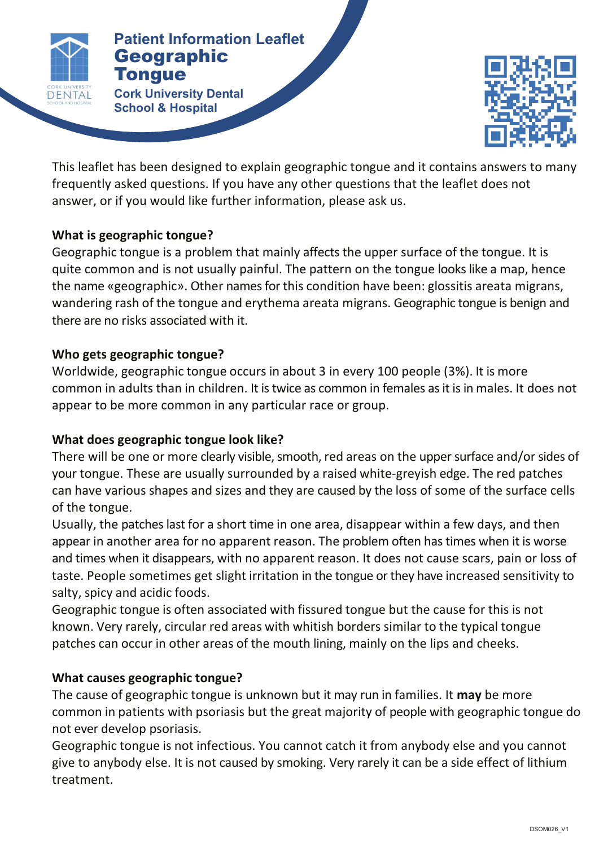

### **Patients Patient Information Leaflet** Geographic **Tongue**

**Cork University Dental** *Cork University Dental* **School & Hospital**



This leaflet has been designed to explain geographic tongue and it contains answers to many frequently asked questions. If you have any other questions that the leaflet does not answer, or if you would like further information, please ask us.

# **What is geographic tongue?**

Geographic tongue is a problem that mainly affects the upper surface of the tongue. It is guite common and is not usually painful. The pattern on the tongue looks like a map, hence the name «geographic». Other names for this condition have been: glossitis areata migrans, wandering rash of the tongue and erythema areata migrans. Geographic tongue is benign and there are no risks associated with it.

## **Who gets geographic tongue?**

Worldwide, geographic tongue occurs in about 3 in every 100 people (3%). It is more common in adults than in children. It is twice as common in females as it is in males. It does not appear to be more common in any particular race or group.

# **What does geographic tongue look like?**

There will be one or more clearly visible, smooth, red areas on the upper surface and/or sides of your tongue. These are usually surrounded by a raised white-greyish edge. The red patches can have various shapes and sizes and they are caused by the loss of some of the surface cells of the tongue.

Usually, the patches last for a short time in one area, disappear within a few days, and then appear in another area for no apparent reason. The problem often has times when it is worse and times when it disappears, with no apparent reason. It does not cause scars, pain or loss of taste. People sometimes get slight irritation in the tongue or they have increased sensitivity to salty, spicy and acidic foods. 

Geographic tongue is often associated with fissured tongue but the cause for this is not known. Very rarely, circular red areas with whitish borders similar to the typical tongue patches can occur in other areas of the mouth lining, mainly on the lips and cheeks.

# **What causes geographic tongue?**

The cause of geographic tongue is unknown but it may run in families. It **may** be more common in patients with psoriasis but the great majority of people with geographic tongue do not ever develop psoriasis.

Geographic tongue is not infectious. You cannot catch it from anybody else and you cannot give to anybody else. It is not caused by smoking. Very rarely it can be a side effect of lithium treatment.